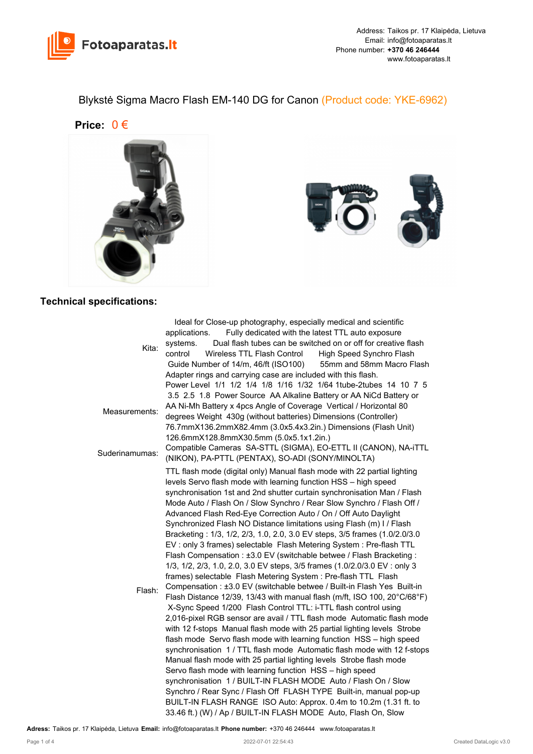

Blykstė Sigma Macro Flash EM-140 DG for Canon (Product code: YKE-6962)

**Price:** 0 €





## **Technical specifications:**

|                | Ideal for Close-up photography, especially medical and scientific          |
|----------------|----------------------------------------------------------------------------|
| Kita:          | Fully dedicated with the latest TTL auto exposure<br>applications.         |
|                | Dual flash tubes can be switched on or off for creative flash<br>systems.  |
|                | Wireless TTL Flash Control<br>control<br>High Speed Synchro Flash          |
|                | Guide Number of 14/m, 46/ft (ISO100)<br>55mm and 58mm Macro Flash          |
|                | Adapter rings and carrying case are included with this flash.              |
| Measurements:  | Power Level 1/1 1/2 1/4 1/8 1/16 1/32 1/64 1tube-2tubes 14 10 7 5          |
|                | 3.5 2.5 1.8 Power Source AA Alkaline Battery or AA NiCd Battery or         |
|                | AA Ni-Mh Battery x 4pcs Angle of Coverage Vertical / Horizontal 80         |
|                | degrees Weight 430g (without batteries) Dimensions (Controller)            |
|                | 76.7mmX136.2mmX82.4mm (3.0x5.4x3.2in.) Dimensions (Flash Unit)             |
|                | 126.6mmX128.8mmX30.5mm (5.0x5.1x1.2in.)                                    |
|                | Compatible Cameras SA-STTL (SIGMA), EO-ETTL II (CANON), NA-ITTL            |
| Suderinamumas: | (NIKON), PA-PTTL (PENTAX), SO-ADI (SONY/MINOLTA)                           |
|                | TTL flash mode (digital only) Manual flash mode with 22 partial lighting   |
|                | levels Servo flash mode with learning function HSS - high speed            |
|                | synchronisation 1st and 2nd shutter curtain synchronisation Man / Flash    |
|                | Mode Auto / Flash On / Slow Synchro / Rear Slow Synchro / Flash Off /      |
|                | Advanced Flash Red-Eye Correction Auto / On / Off Auto Daylight            |
|                | Synchronized Flash NO Distance limitations using Flash (m) I / Flash       |
|                | Bracketing: 1/3, 1/2, 2/3, 1.0, 2.0, 3.0 EV steps, 3/5 frames (1.0/2.0/3.0 |
|                | EV: only 3 frames) selectable Flash Metering System: Pre-flash TTL         |
|                | Flash Compensation: ±3.0 EV (switchable betwee / Flash Bracketing:         |
|                | 1/3, 1/2, 2/3, 1.0, 2.0, 3.0 EV steps, 3/5 frames (1.0/2.0/3.0 EV : only 3 |
|                | frames) selectable Flash Metering System : Pre-flash TTL Flash             |
| Flash:         | Compensation : ±3.0 EV (switchable betwee / Built-in Flash Yes Built-in    |
|                | Flash Distance 12/39, 13/43 with manual flash (m/ft, ISO 100, 20°C/68°F)   |
|                | X-Sync Speed 1/200 Flash Control TTL: i-TTL flash control using            |
|                | 2,016-pixel RGB sensor are avail / TTL flash mode Automatic flash mode     |
|                | with 12 f-stops Manual flash mode with 25 partial lighting levels Strobe   |
|                | flash mode Servo flash mode with learning function HSS - high speed        |
|                | synchronisation 1 / TTL flash mode Automatic flash mode with 12 f-stops    |
|                | Manual flash mode with 25 partial lighting levels Strobe flash mode        |
|                | Servo flash mode with learning function HSS - high speed                   |
|                | synchronisation 1 / BUILT-IN FLASH MODE Auto / Flash On / Slow             |
|                | Synchro / Rear Sync / Flash Off FLASH TYPE Built-in, manual pop-up         |
|                | BUILT-IN FLASH RANGE ISO Auto: Approx. 0.4m to 10.2m (1.31 ft. to          |
|                | 33.46 ft.) (W) / Ap / BUILT-IN FLASH MODE Auto, Flash On, Slow             |
|                |                                                                            |

**Adress:** Taikos pr. 17 Klaipėda, Lietuva **Email:** info@fotoaparatas.lt **Phone number:** +370 46 246444 www.fotoaparatas.lt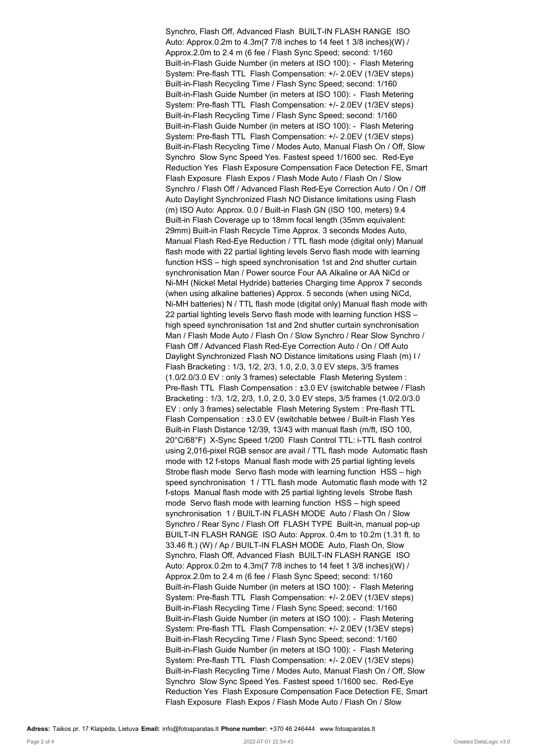Synchro, Flash Off, Advanced Flash BUILT-IN FLASH RANGE ISO Auto: Approx.0.2m to 4.3m(7 7/8 inches to 14 feet 1 3/8 inches)(W) / Approx.2.0m to 2.4 m (6 fee / Flash Sync Speed; second: 1/160 Built-in-Flash Guide Number (in meters at ISO 100): - Flash Metering System: Pre-flash TTL Flash Compensation: +/- 2.0EV (1/3EV steps) Built-in-Flash Recycling Time / Flash Sync Speed; second: 1/160 Built-in-Flash Guide Number (in meters at ISO 100): - Flash Metering System: Pre-flash TTL Flash Compensation: +/- 2.0EV (1/3EV steps) Built-in-Flash Recycling Time / Flash Sync Speed; second: 1/160 Built-in-Flash Guide Number (in meters at ISO 100): - Flash Metering System: Pre-flash TTL Flash Compensation: +/- 2.0EV (1/3EV steps) Built-in-Flash Recycling Time / Modes Auto, Manual Flash On / Off, Slow Synchro Slow Sync Speed Yes. Fastest speed 1/1600 sec. Red-Eye Reduction Yes Flash Exposure Compensation Face Detection FE, Smart Flash Exposure Flash Expos / Flash Mode Auto / Flash On / Slow Synchro / Flash Off / Advanced Flash Red-Eye Correction Auto / On / Off Auto Daylight Synchronized Flash NO Distance limitations using Flash (m) ISO Auto: Approx. 0.0 / Built-in Flash GN (ISO 100, meters) 9.4 Built-in Flash Coverage up to 18mm focal length (35mm equivalent: 29mm) Built-in Flash Recycle Time Approx. 3 seconds Modes Auto, Manual Flash Red-Eye Reduction / TTL flash mode (digital only) Manual flash mode with 22 partial lighting levels Servo flash mode with learning function HSS – high speed synchronisation 1st and 2nd shutter curtain synchronisation Man / Power source Four AA Alkaline or AA NiCd or Ni-MH (Nickel Metal Hydride) batteries Charging time Approx 7 seconds (when using alkaline batteries) Approx. 5 seconds (when using NiCd, Ni-MH batteries) N / TTL flash mode (digital only) Manual flash mode with 22 partial lighting levels Servo flash mode with learning function HSS – high speed synchronisation 1st and 2nd shutter curtain synchronisation Man / Flash Mode Auto / Flash On / Slow Synchro / Rear Slow Synchro / Flash Off / Advanced Flash Red-Eye Correction Auto / On / Off Auto Daylight Synchronized Flash NO Distance limitations using Flash (m) I / Flash Bracketing : 1/3, 1/2, 2/3, 1.0, 2.0, 3.0 EV steps, 3/5 frames (1.0/2.0/3.0 EV : only 3 frames) selectable Flash Metering System : Pre-flash TTL Flash Compensation : ±3.0 EV (switchable betwee / Flash Bracketing : 1/3, 1/2, 2/3, 1.0, 2.0, 3.0 EV steps, 3/5 frames (1.0/2.0/3.0 EV : only 3 frames) selectable Flash Metering System : Pre-flash TTL Flash Compensation : ±3.0 EV (switchable betwee / Built-in Flash Yes Built-in Flash Distance 12/39, 13/43 with manual flash (m/ft, ISO 100, 20°C/68°F) X-Sync Speed 1/200 Flash Control TTL: i-TTL flash control using 2,016-pixel RGB sensor are avail / TTL flash mode Automatic flash mode with 12 f-stops Manual flash mode with 25 partial lighting levels Strobe flash mode Servo flash mode with learning function HSS – high speed synchronisation 1 / TTL flash mode Automatic flash mode with 12 f-stops Manual flash mode with 25 partial lighting levels Strobe flash mode Servo flash mode with learning function HSS – high speed synchronisation 1 / BUILT-IN FLASH MODE Auto / Flash On / Slow Synchro / Rear Sync / Flash Off FLASH TYPE Built-in, manual pop-up BUILT-IN FLASH RANGE ISO Auto: Approx. 0.4m to 10.2m (1.31 ft. to 33.46 ft.) (W) / Ap / BUILT-IN FLASH MODE Auto, Flash On, Slow Synchro, Flash Off, Advanced Flash BUILT-IN FLASH RANGE ISO Auto: Approx.0.2m to 4.3m(7 7/8 inches to 14 feet 1 3/8 inches)(W) / Approx.2.0m to 2.4 m (6 fee / Flash Sync Speed; second: 1/160 Built-in-Flash Guide Number (in meters at ISO 100): - Flash Metering System: Pre-flash TTL Flash Compensation: +/- 2.0EV (1/3EV steps) Built-in-Flash Recycling Time / Flash Sync Speed; second: 1/160 Built-in-Flash Guide Number (in meters at ISO 100): - Flash Metering System: Pre-flash TTL Flash Compensation: +/- 2.0EV (1/3EV steps) Built-in-Flash Recycling Time / Flash Sync Speed; second: 1/160 Built-in-Flash Guide Number (in meters at ISO 100): - Flash Metering System: Pre-flash TTL Flash Compensation: +/- 2.0EV (1/3EV steps) Built-in-Flash Recycling Time / Modes Auto, Manual Flash On / Off, Slow Synchro Slow Sync Speed Yes. Fastest speed 1/1600 sec. Red-Eye Reduction Yes Flash Exposure Compensation Face Detection FE, Smart Flash Exposure Flash Expos / Flash Mode Auto / Flash On / Slow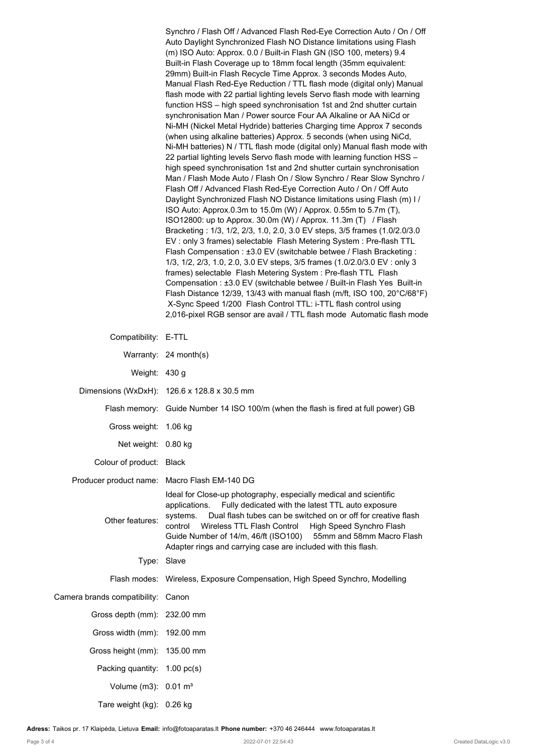Synchro / Flash Off / Advanced Flash Red-Eye Correction Auto / On / Off Auto Daylight Synchronized Flash NO Distance limitations using Flash (m) ISO Auto: Approx. 0.0 / Built-in Flash GN (ISO 100, meters) 9.4 Built-in Flash Coverage up to 18mm focal length (35mm equivalent: 29mm) Built-in Flash Recycle Time Approx. 3 seconds Modes Auto, Manual Flash Red-Eye Reduction / TTL flash mode (digital only) Manual flash mode with 22 partial lighting levels Servo flash mode with learning function HSS – high speed synchronisation 1st and 2nd shutter curtain synchronisation Man / Power source Four AA Alkaline or AA NiCd or Ni-MH (Nickel Metal Hydride) batteries Charging time Approx 7 seconds (when using alkaline batteries) Approx. 5 seconds (when using NiCd, Ni-MH batteries) N / TTL flash mode (digital only) Manual flash mode with 22 partial lighting levels Servo flash mode with learning function HSS – high speed synchronisation 1st and 2nd shutter curtain synchronisation Man / Flash Mode Auto / Flash On / Slow Synchro / Rear Slow Synchro / Flash Off / Advanced Flash Red-Eye Correction Auto / On / Off Auto Daylight Synchronized Flash NO Distance limitations using Flash (m) I / ISO Auto: Approx.0.3m to 15.0m (W) / Approx. 0.55m to 5.7m (T), ISO12800: up to Approx. 30.0m (W) / Approx. 11.3m (T) / Flash Bracketing : 1/3, 1/2, 2/3, 1.0, 2.0, 3.0 EV steps, 3/5 frames (1.0/2.0/3.0 EV : only 3 frames) selectable Flash Metering System : Pre-flash TTL Flash Compensation : ±3.0 EV (switchable betwee / Flash Bracketing : 1/3, 1/2, 2/3, 1.0, 2.0, 3.0 EV steps, 3/5 frames (1.0/2.0/3.0 EV : only 3 frames) selectable Flash Metering System : Pre-flash TTL Flash Compensation : ±3.0 EV (switchable betwee / Built-in Flash Yes Built-in Flash Distance 12/39, 13/43 with manual flash (m/ft, ISO 100, 20°C/68°F) X-Sync Speed 1/200 Flash Control TTL: i-TTL flash control using 2,016-pixel RGB sensor are avail / TTL flash mode Automatic flash mode

| Compatibility: E-TTL               |                                                                                                                                                                                                                                                                                                                                                                                                                              |
|------------------------------------|------------------------------------------------------------------------------------------------------------------------------------------------------------------------------------------------------------------------------------------------------------------------------------------------------------------------------------------------------------------------------------------------------------------------------|
|                                    | Warranty: 24 month(s)                                                                                                                                                                                                                                                                                                                                                                                                        |
| Weight: 430 g                      |                                                                                                                                                                                                                                                                                                                                                                                                                              |
|                                    | Dimensions (WxDxH): 126.6 x 128.8 x 30.5 mm                                                                                                                                                                                                                                                                                                                                                                                  |
|                                    | Flash memory: Guide Number 14 ISO 100/m (when the flash is fired at full power) GB                                                                                                                                                                                                                                                                                                                                           |
| Gross weight:                      | 1.06 kg                                                                                                                                                                                                                                                                                                                                                                                                                      |
| Net weight: 0.80 kg                |                                                                                                                                                                                                                                                                                                                                                                                                                              |
| Colour of product: Black           |                                                                                                                                                                                                                                                                                                                                                                                                                              |
|                                    | Producer product name: Macro Flash EM-140 DG                                                                                                                                                                                                                                                                                                                                                                                 |
| Other features:                    | Ideal for Close-up photography, especially medical and scientific<br>Fully dedicated with the latest TTL auto exposure<br>applications.<br>Dual flash tubes can be switched on or off for creative flash<br>systems.<br>control<br>Wireless TTL Flash Control<br>High Speed Synchro Flash<br>Guide Number of 14/m, 46/ft (ISO100) 55mm and 58mm Macro Flash<br>Adapter rings and carrying case are included with this flash. |
|                                    | Type: Slave                                                                                                                                                                                                                                                                                                                                                                                                                  |
|                                    | Flash modes: Wireless, Exposure Compensation, High Speed Synchro, Modelling                                                                                                                                                                                                                                                                                                                                                  |
| Camera brands compatibility: Canon |                                                                                                                                                                                                                                                                                                                                                                                                                              |
| Gross depth (mm): 232.00 mm        |                                                                                                                                                                                                                                                                                                                                                                                                                              |
| Gross width (mm): 192.00 mm        |                                                                                                                                                                                                                                                                                                                                                                                                                              |
| Gross height (mm): 135.00 mm       |                                                                                                                                                                                                                                                                                                                                                                                                                              |
| Packing quantity: 1.00 pc(s)       |                                                                                                                                                                                                                                                                                                                                                                                                                              |
| Volume (m3): $0.01 \text{ m}^3$    |                                                                                                                                                                                                                                                                                                                                                                                                                              |
| Tare weight (kg): 0.26 kg          |                                                                                                                                                                                                                                                                                                                                                                                                                              |

**Adress:** Taikos pr. 17 Klaipėda, Lietuva **Email:** info@fotoaparatas.lt **Phone number:** +370 46 246444 www.fotoaparatas.lt